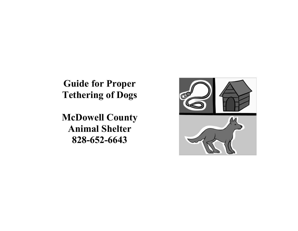**Guide for Proper Tethering of Dogs**

**McDowell County Animal Shelter 828-652-6643**